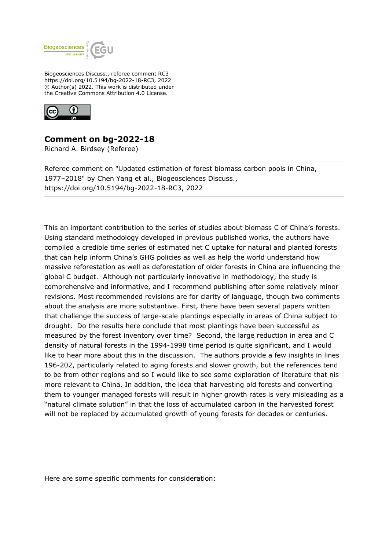

Biogeosciences Discuss., referee comment RC3 https://doi.org/10.5194/bg-2022-18-RC3, 2022 © Author(s) 2022. This work is distributed under the Creative Commons Attribution 4.0 License.



## **Comment on bg-2022-18**

Richard A. Birdsey (Referee)

Referee comment on "Updated estimation of forest biomass carbon pools in China, 1977–2018" by Chen Yang et al., Biogeosciences Discuss., https://doi.org/10.5194/bg-2022-18-RC3, 2022

This an important contribution to the series of studies about biomass C of China's forests. Using standard methodology developed in previous published works, the authors have compiled a credible time series of estimated net C uptake for natural and planted forests that can help inform China's GHG policies as well as help the world understand how massive reforestation as well as deforestation of older forests in China are influencing the global C budget. Although not particularly innovative in methodology, the study is comprehensive and informative, and I recommend publishing after some relatively minor revisions. Most recommended revisions are for clarity of language, though two comments about the analysis are more substantive. First, there have been several papers written that challenge the success of large-scale plantings especially in areas of China subject to drought. Do the results here conclude that most plantings have been successful as measured by the forest inventory over time? Second, the large reduction in area and C density of natural forests in the 1994-1998 time period is quite significant, and I would like to hear more about this in the discussion. The authors provide a few insights in lines 196-202, particularly related to aging forests and slower growth, but the references tend to be from other regions and so I would like to see some exploration of literature that nis more relevant to China. In addition, the idea that harvesting old forests and converting them to younger managed forests will result in higher growth rates is very misleading as a "natural climate solution" in that the loss of accumulated carbon in the harvested forest will not be replaced by accumulated growth of young forests for decades or centuries.

Here are some specific comments for consideration: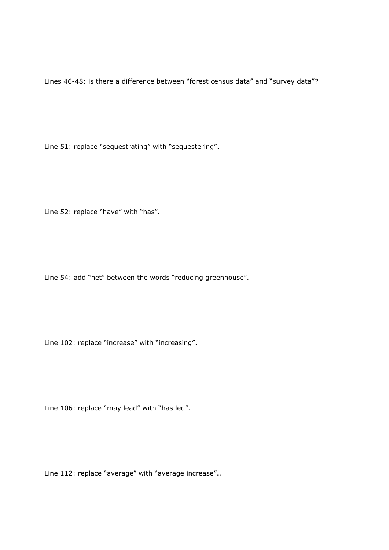Lines 46-48: is there a difference between "forest census data" and "survey data"?

Line 51: replace "sequestrating" with "sequestering".

Line 52: replace "have" with "has".

Line 54: add "net" between the words "reducing greenhouse".

Line 102: replace "increase" with "increasing".

Line 106: replace "may lead" with "has led".

Line 112: replace "average" with "average increase"..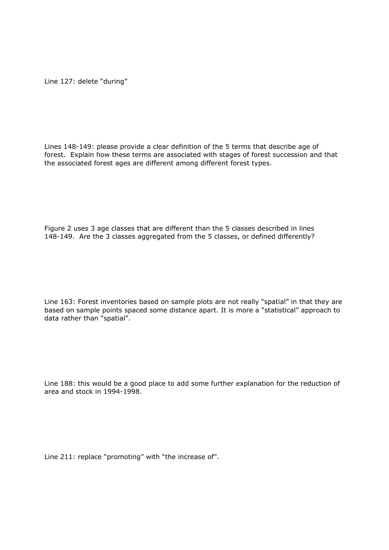Line 127: delete "during"

Lines 148-149: please provide a clear definition of the 5 terms that describe age of forest. Explain how these terms are associated with stages of forest succession and that the associated forest ages are different among different forest types.

Figure 2 uses 3 age classes that are different than the 5 classes described in lines 148-149. Are the 3 classes aggregated from the 5 classes, or defined differently?

Line 163: Forest inventories based on sample plots are not really "spatial" in that they are based on sample points spaced some distance apart. It is more a "statistical" approach to data rather than "spatial".

Line 188: this would be a good place to add some further explanation for the reduction of area and stock in 1994-1998.

Line 211: replace "promoting" with "the increase of".